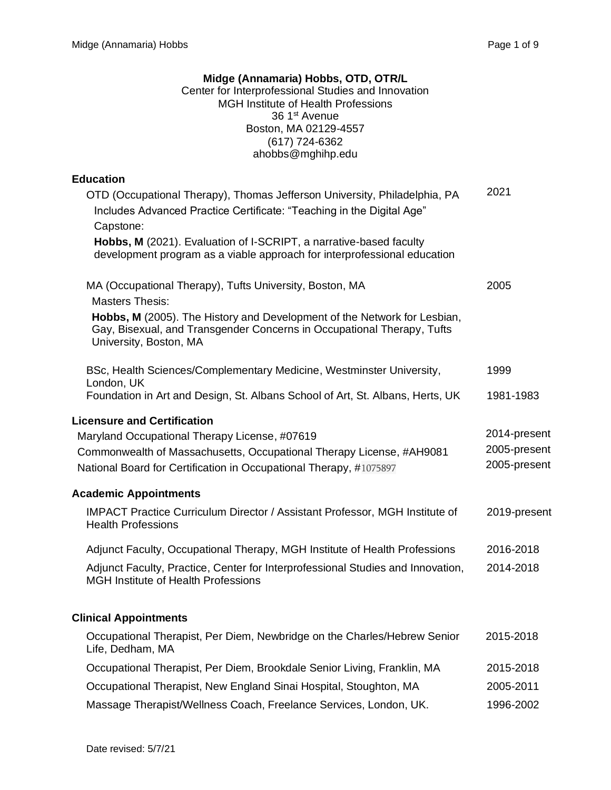# **Midge (Annamaria) Hobbs, OTD, OTR/L**

Center for Interprofessional Studies and Innovation MGH Institute of Health Professions 36 1<sup>st</sup> Avenue Boston, MA 02129-4557 (617) 724-6362 ahobbs@mghihp.edu

## **Education**

| OTD (Occupational Therapy), Thomas Jefferson University, Philadelphia, PA<br>Includes Advanced Practice Certificate: "Teaching in the Digital Age"                           | 2021                         |
|------------------------------------------------------------------------------------------------------------------------------------------------------------------------------|------------------------------|
| Capstone:                                                                                                                                                                    |                              |
| Hobbs, M (2021). Evaluation of I-SCRIPT, a narrative-based faculty<br>development program as a viable approach for interprofessional education                               |                              |
| MA (Occupational Therapy), Tufts University, Boston, MA<br><b>Masters Thesis:</b>                                                                                            | 2005                         |
| Hobbs, M (2005). The History and Development of the Network for Lesbian,<br>Gay, Bisexual, and Transgender Concerns in Occupational Therapy, Tufts<br>University, Boston, MA |                              |
| BSc, Health Sciences/Complementary Medicine, Westminster University,                                                                                                         | 1999                         |
| London, UK<br>Foundation in Art and Design, St. Albans School of Art, St. Albans, Herts, UK                                                                                  | 1981-1983                    |
| <b>Licensure and Certification</b>                                                                                                                                           |                              |
| Maryland Occupational Therapy License, #07619                                                                                                                                | 2014-present                 |
| Commonwealth of Massachusetts, Occupational Therapy License, #AH9081<br>National Board for Certification in Occupational Therapy, #1075897                                   | 2005-present<br>2005-present |
| <b>Academic Appointments</b>                                                                                                                                                 |                              |
| <b>IMPACT Practice Curriculum Director / Assistant Professor, MGH Institute of</b><br><b>Health Professions</b>                                                              | 2019-present                 |
| Adjunct Faculty, Occupational Therapy, MGH Institute of Health Professions                                                                                                   | 2016-2018                    |
| Adjunct Faculty, Practice, Center for Interprofessional Studies and Innovation,<br><b>MGH Institute of Health Professions</b>                                                | 2014-2018                    |
| <b>Clinical Appointments</b>                                                                                                                                                 |                              |
| Occupational Therapist, Per Diem, Newbridge on the Charles/Hebrew Senior<br>Life, Dedham, MA                                                                                 | 2015-2018                    |
| Occupational Therapist, Per Diem, Brookdale Senior Living, Franklin, MA                                                                                                      | 2015-2018                    |
| Occupational Therapist, New England Sinai Hospital, Stoughton, MA                                                                                                            | 2005-2011                    |

Massage Therapist/Wellness Coach, Freelance Services, London, UK. 1996-2002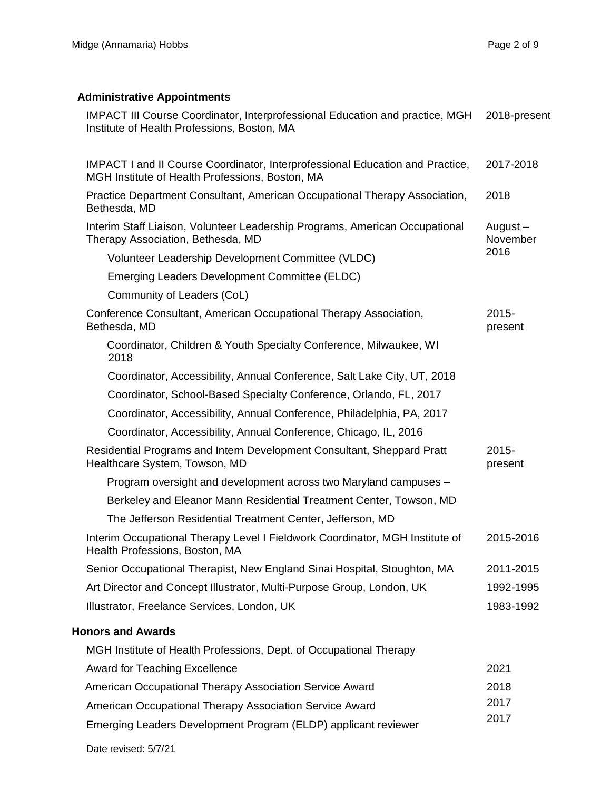# **Administrative Appointments**

| <b>IMPACT III Course Coordinator, Interprofessional Education and practice, MGH</b><br>Institute of Health Professions, Boston, MA      | 2018-present        |
|-----------------------------------------------------------------------------------------------------------------------------------------|---------------------|
| <b>IMPACT I and II Course Coordinator, Interprofessional Education and Practice,</b><br>MGH Institute of Health Professions, Boston, MA | 2017-2018           |
| Practice Department Consultant, American Occupational Therapy Association,<br>Bethesda, MD                                              | 2018                |
| Interim Staff Liaison, Volunteer Leadership Programs, American Occupational<br>Therapy Association, Bethesda, MD                        | August-<br>November |
| Volunteer Leadership Development Committee (VLDC)                                                                                       | 2016                |
| Emerging Leaders Development Committee (ELDC)                                                                                           |                     |
| Community of Leaders (CoL)                                                                                                              |                     |
| Conference Consultant, American Occupational Therapy Association,<br>Bethesda, MD                                                       | 2015-<br>present    |
| Coordinator, Children & Youth Specialty Conference, Milwaukee, WI<br>2018                                                               |                     |
| Coordinator, Accessibility, Annual Conference, Salt Lake City, UT, 2018                                                                 |                     |
| Coordinator, School-Based Specialty Conference, Orlando, FL, 2017                                                                       |                     |
| Coordinator, Accessibility, Annual Conference, Philadelphia, PA, 2017                                                                   |                     |
| Coordinator, Accessibility, Annual Conference, Chicago, IL, 2016                                                                        |                     |
| Residential Programs and Intern Development Consultant, Sheppard Pratt<br>Healthcare System, Towson, MD                                 | 2015-<br>present    |
| Program oversight and development across two Maryland campuses -                                                                        |                     |
| Berkeley and Eleanor Mann Residential Treatment Center, Towson, MD                                                                      |                     |
| The Jefferson Residential Treatment Center, Jefferson, MD                                                                               |                     |
| Interim Occupational Therapy Level I Fieldwork Coordinator, MGH Institute of<br>Health Professions, Boston, MA                          | 2015-2016           |
| Senior Occupational Therapist, New England Sinai Hospital, Stoughton, MA                                                                | 2011-2015           |
| Art Director and Concept Illustrator, Multi-Purpose Group, London, UK                                                                   | 1992-1995           |
| Illustrator, Freelance Services, London, UK                                                                                             | 1983-1992           |
| <b>Honors and Awards</b>                                                                                                                |                     |
| MGH Institute of Health Professions, Dept. of Occupational Therapy                                                                      |                     |
| <b>Award for Teaching Excellence</b>                                                                                                    | 2021                |
| American Occupational Therapy Association Service Award                                                                                 | 2018                |
| American Occupational Therapy Association Service Award                                                                                 | 2017                |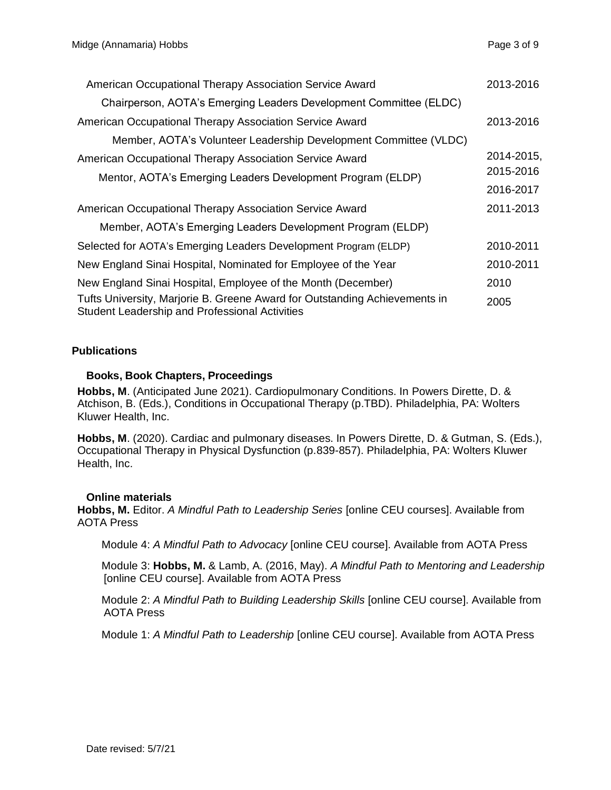| American Occupational Therapy Association Service Award                                                                             | 2013-2016  |
|-------------------------------------------------------------------------------------------------------------------------------------|------------|
| Chairperson, AOTA's Emerging Leaders Development Committee (ELDC)                                                                   |            |
| American Occupational Therapy Association Service Award                                                                             | 2013-2016  |
| Member, AOTA's Volunteer Leadership Development Committee (VLDC)                                                                    |            |
| American Occupational Therapy Association Service Award                                                                             | 2014-2015, |
| Mentor, AOTA's Emerging Leaders Development Program (ELDP)                                                                          | 2015-2016  |
|                                                                                                                                     | 2016-2017  |
| American Occupational Therapy Association Service Award                                                                             | 2011-2013  |
| Member, AOTA's Emerging Leaders Development Program (ELDP)                                                                          |            |
| Selected for AOTA's Emerging Leaders Development Program (ELDP)                                                                     | 2010-2011  |
| New England Sinai Hospital, Nominated for Employee of the Year                                                                      | 2010-2011  |
| New England Sinai Hospital, Employee of the Month (December)                                                                        | 2010       |
| Tufts University, Marjorie B. Greene Award for Outstanding Achievements in<br><b>Student Leadership and Professional Activities</b> | 2005       |

## **Publications**

## **Books, Book Chapters, Proceedings**

**Hobbs, M**. (Anticipated June 2021). Cardiopulmonary Conditions. In Powers Dirette, D. & Atchison, B. (Eds.), Conditions in Occupational Therapy (p.TBD). Philadelphia, PA: Wolters Kluwer Health, Inc.

**Hobbs, M**. (2020). Cardiac and pulmonary diseases. In Powers Dirette, D. & Gutman, S. (Eds.), Occupational Therapy in Physical Dysfunction (p.839-857). Philadelphia, PA: Wolters Kluwer Health, Inc.

#### **Online materials**

**Hobbs, M.** Editor. *A Mindful Path to Leadership Series* [online CEU courses]. Available from AOTA Press

Module 4: *A Mindful Path to Advocacy* [online CEU course]. Available from AOTA Press

Module 3: **Hobbs, M.** & Lamb, A. (2016, May). *A Mindful Path to Mentoring and Leadership*  [online CEU course]. Available from AOTA Press

 Module 2: *A Mindful Path to Building Leadership Skills* [online CEU course]. Available from AOTA Press

Module 1: *A Mindful Path to Leadership* [online CEU course]. Available from AOTA Press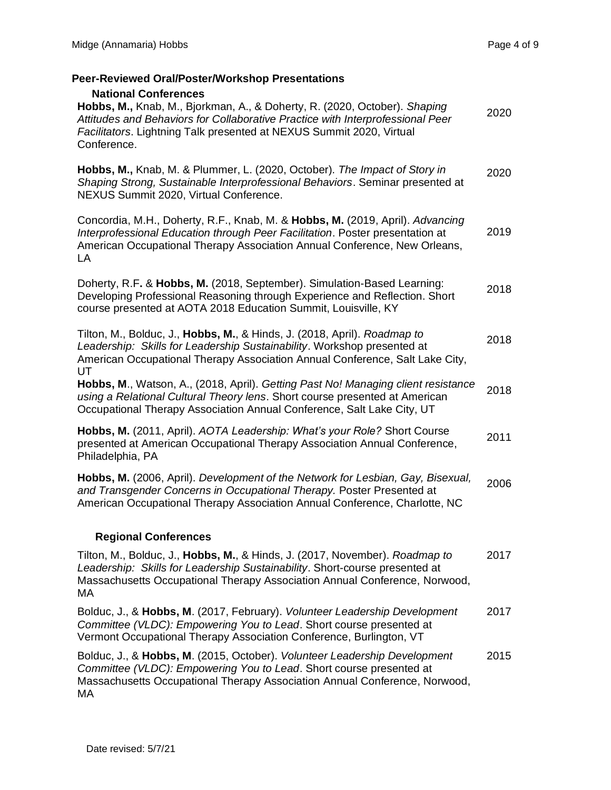# **Peer-Reviewed Oral/Poster/Workshop Presentations**

| <b>National Conferences</b><br>Hobbs, M., Knab, M., Bjorkman, A., & Doherty, R. (2020, October). Shaping<br>Attitudes and Behaviors for Collaborative Practice with Interprofessional Peer<br>Facilitators. Lightning Talk presented at NEXUS Summit 2020, Virtual<br>Conference. | 2020 |
|-----------------------------------------------------------------------------------------------------------------------------------------------------------------------------------------------------------------------------------------------------------------------------------|------|
| Hobbs, M., Knab, M. & Plummer, L. (2020, October). The Impact of Story in<br>Shaping Strong, Sustainable Interprofessional Behaviors. Seminar presented at<br>NEXUS Summit 2020, Virtual Conference.                                                                              | 2020 |
| Concordia, M.H., Doherty, R.F., Knab, M. & Hobbs, M. (2019, April). Advancing<br>Interprofessional Education through Peer Facilitation. Poster presentation at<br>American Occupational Therapy Association Annual Conference, New Orleans,<br>LA                                 | 2019 |
| Doherty, R.F. & Hobbs, M. (2018, September). Simulation-Based Learning:<br>Developing Professional Reasoning through Experience and Reflection. Short<br>course presented at AOTA 2018 Education Summit, Louisville, KY                                                           | 2018 |
| Tilton, M., Bolduc, J., Hobbs, M., & Hinds, J. (2018, April). Roadmap to<br>Leadership: Skills for Leadership Sustainability. Workshop presented at<br>American Occupational Therapy Association Annual Conference, Salt Lake City,<br>UT                                         | 2018 |
| Hobbs, M., Watson, A., (2018, April). Getting Past No! Managing client resistance<br>using a Relational Cultural Theory lens. Short course presented at American<br>Occupational Therapy Association Annual Conference, Salt Lake City, UT                                        | 2018 |
| Hobbs, M. (2011, April). AOTA Leadership: What's your Role? Short Course<br>presented at American Occupational Therapy Association Annual Conference,<br>Philadelphia, PA                                                                                                         | 2011 |
| Hobbs, M. (2006, April). Development of the Network for Lesbian, Gay, Bisexual,<br>and Transgender Concerns in Occupational Therapy. Poster Presented at<br>American Occupational Therapy Association Annual Conference, Charlotte, NC                                            | 2006 |
| <b>Regional Conferences</b>                                                                                                                                                                                                                                                       |      |
| Tilton, M., Bolduc, J., Hobbs, M., & Hinds, J. (2017, November). Roadmap to<br>Leadership: Skills for Leadership Sustainability. Short-course presented at<br>Massachusetts Occupational Therapy Association Annual Conference, Norwood,<br>МA                                    | 2017 |
| Bolduc, J., & Hobbs, M. (2017, February). Volunteer Leadership Development<br>Committee (VLDC): Empowering You to Lead. Short course presented at<br>Vermont Occupational Therapy Association Conference, Burlington, VT                                                          | 2017 |
| Bolduc, J., & Hobbs, M. (2015, October). Volunteer Leadership Development<br>Committee (VLDC): Empowering You to Lead. Short course presented at<br>Massachusetts Occupational Therapy Association Annual Conference, Norwood,<br>МA                                              | 2015 |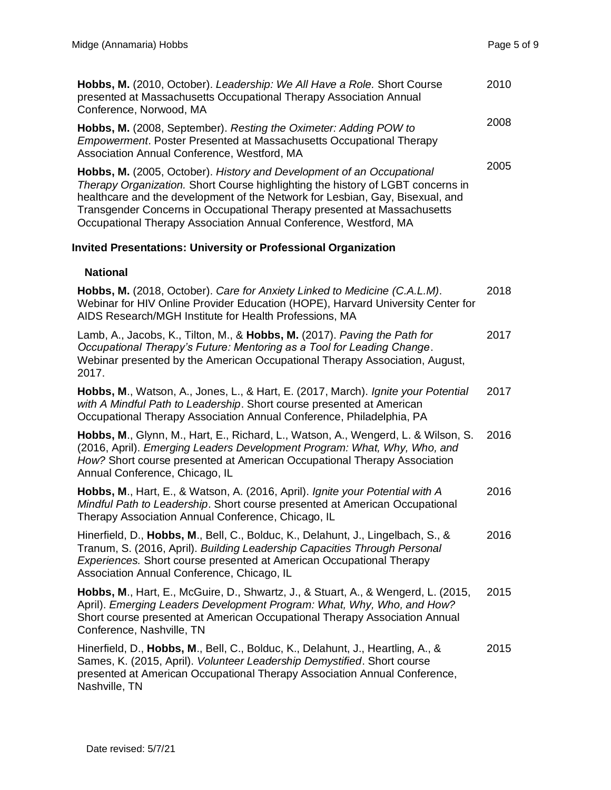| Hobbs, M. (2010, October). Leadership: We All Have a Role. Short Course<br>presented at Massachusetts Occupational Therapy Association Annual<br>Conference, Norwood, MA                                                                                                                                                                                                                 | 2010 |
|------------------------------------------------------------------------------------------------------------------------------------------------------------------------------------------------------------------------------------------------------------------------------------------------------------------------------------------------------------------------------------------|------|
| Hobbs, M. (2008, September). Resting the Oximeter: Adding POW to<br><b>Empowerment. Poster Presented at Massachusetts Occupational Therapy</b><br>Association Annual Conference, Westford, MA                                                                                                                                                                                            | 2008 |
| Hobbs, M. (2005, October). History and Development of an Occupational<br>Therapy Organization. Short Course highlighting the history of LGBT concerns in<br>healthcare and the development of the Network for Lesbian, Gay, Bisexual, and<br>Transgender Concerns in Occupational Therapy presented at Massachusetts<br>Occupational Therapy Association Annual Conference, Westford, MA | 2005 |
| <b>Invited Presentations: University or Professional Organization</b>                                                                                                                                                                                                                                                                                                                    |      |
| <b>National</b>                                                                                                                                                                                                                                                                                                                                                                          |      |
| Hobbs, M. (2018, October). Care for Anxiety Linked to Medicine (C.A.L.M).<br>Webinar for HIV Online Provider Education (HOPE), Harvard University Center for<br>AIDS Research/MGH Institute for Health Professions, MA                                                                                                                                                                   | 2018 |
| Lamb, A., Jacobs, K., Tilton, M., & Hobbs, M. (2017). Paving the Path for<br>Occupational Therapy's Future: Mentoring as a Tool for Leading Change.<br>Webinar presented by the American Occupational Therapy Association, August,<br>2017.                                                                                                                                              | 2017 |
| Hobbs, M., Watson, A., Jones, L., & Hart, E. (2017, March). Ignite your Potential<br>with A Mindful Path to Leadership. Short course presented at American<br>Occupational Therapy Association Annual Conference, Philadelphia, PA                                                                                                                                                       | 2017 |
| Hobbs, M., Glynn, M., Hart, E., Richard, L., Watson, A., Wengerd, L. & Wilson, S.<br>(2016, April). Emerging Leaders Development Program: What, Why, Who, and<br>How? Short course presented at American Occupational Therapy Association<br>Annual Conference, Chicago, IL                                                                                                              | 2016 |
| Hobbs, M., Hart, E., & Watson, A. (2016, April). Ignite your Potential with A<br>Mindful Path to Leadership. Short course presented at American Occupational<br>Therapy Association Annual Conference, Chicago, IL                                                                                                                                                                       | 2016 |
| Hinerfield, D., Hobbs, M., Bell, C., Bolduc, K., Delahunt, J., Lingelbach, S., &<br>Tranum, S. (2016, April). Building Leadership Capacities Through Personal<br>Experiences. Short course presented at American Occupational Therapy<br>Association Annual Conference, Chicago, IL                                                                                                      | 2016 |
| Hobbs, M., Hart, E., McGuire, D., Shwartz, J., & Stuart, A., & Wengerd, L. (2015,<br>April). Emerging Leaders Development Program: What, Why, Who, and How?<br>Short course presented at American Occupational Therapy Association Annual<br>Conference, Nashville, TN                                                                                                                   | 2015 |
| Hinerfield, D., Hobbs, M., Bell, C., Bolduc, K., Delahunt, J., Heartling, A., &<br>Sames, K. (2015, April). Volunteer Leadership Demystified. Short course<br>presented at American Occupational Therapy Association Annual Conference,<br>Nashville, TN                                                                                                                                 | 2015 |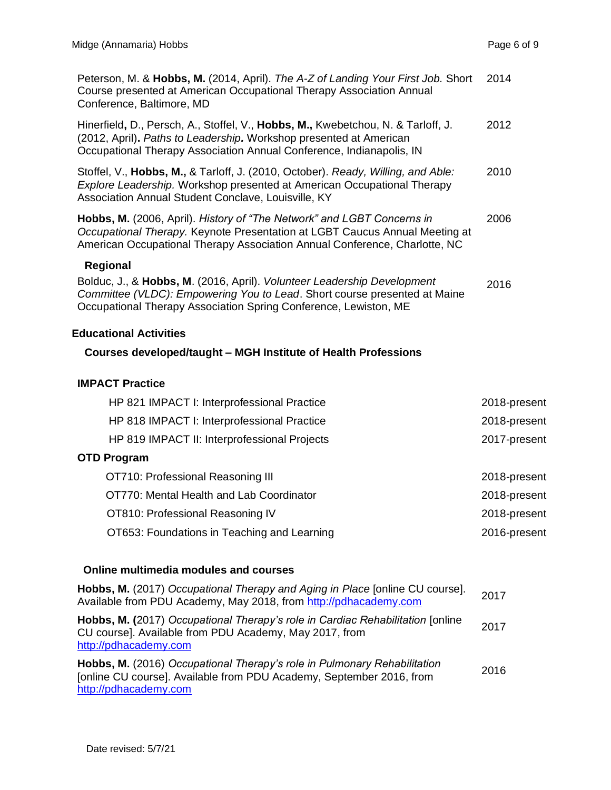| Peterson, M. & Hobbs, M. (2014, April). The A-Z of Landing Your First Job. Short<br>Course presented at American Occupational Therapy Association Annual<br>Conference, Baltimore, MD                                                      | 2014 |
|--------------------------------------------------------------------------------------------------------------------------------------------------------------------------------------------------------------------------------------------|------|
| Hinerfield, D., Persch, A., Stoffel, V., Hobbs, M., Kwebetchou, N. & Tarloff, J.<br>(2012, April). Paths to Leadership. Workshop presented at American<br>Occupational Therapy Association Annual Conference, Indianapolis, IN             | 2012 |
| Stoffel, V., Hobbs, M., & Tarloff, J. (2010, October). Ready, Willing, and Able:<br>Explore Leadership. Workshop presented at American Occupational Therapy<br>Association Annual Student Conclave, Louisville, KY                         | 2010 |
| <b>Hobbs, M.</b> (2006, April). History of "The Network" and LGBT Concerns in<br>Occupational Therapy. Keynote Presentation at LGBT Caucus Annual Meeting at<br>American Occupational Therapy Association Annual Conference, Charlotte, NC | 2006 |
| Regional                                                                                                                                                                                                                                   |      |
| Bolduc, J., & Hobbs, M. (2016, April). Volunteer Leadership Development<br>Committee (VLDC): Empowering You to Lead. Short course presented at Maine<br>Occupational Therapy Association Spring Conference, Lewiston, ME                   | 2016 |

## **Educational Activities**

# **Courses developed/taught – MGH Institute of Health Professions**

## **IMPACT Practice**

| HP 821 IMPACT I: Interprofessional Practice  | 2018-present |
|----------------------------------------------|--------------|
| HP 818 IMPACT I: Interprofessional Practice  | 2018-present |
| HP 819 IMPACT II: Interprofessional Projects | 2017-present |
| <b>OTD Program</b>                           |              |
| OT710: Professional Reasoning III            | 2018-present |
| OT770: Mental Health and Lab Coordinator     | 2018-present |
| OT810: Professional Reasoning IV             | 2018-present |
| OT653: Foundations in Teaching and Learning  | 2016-present |

## **Online multimedia modules and courses**

| Hobbs, M. (2017) Occupational Therapy and Aging in Place [online CU course].<br>Available from PDU Academy, May 2018, from http://pdhacademy.com                          | 2017 |
|---------------------------------------------------------------------------------------------------------------------------------------------------------------------------|------|
| Hobbs, M. (2017) Occupational Therapy's role in Cardiac Rehabilitation [online<br>CU course]. Available from PDU Academy, May 2017, from<br>http://pdhacademy.com         | 2017 |
| Hobbs, M. (2016) Occupational Therapy's role in Pulmonary Rehabilitation<br>Jonline CU course]. Available from PDU Academy, September 2016, from<br>http://pdhacademy.com | 2016 |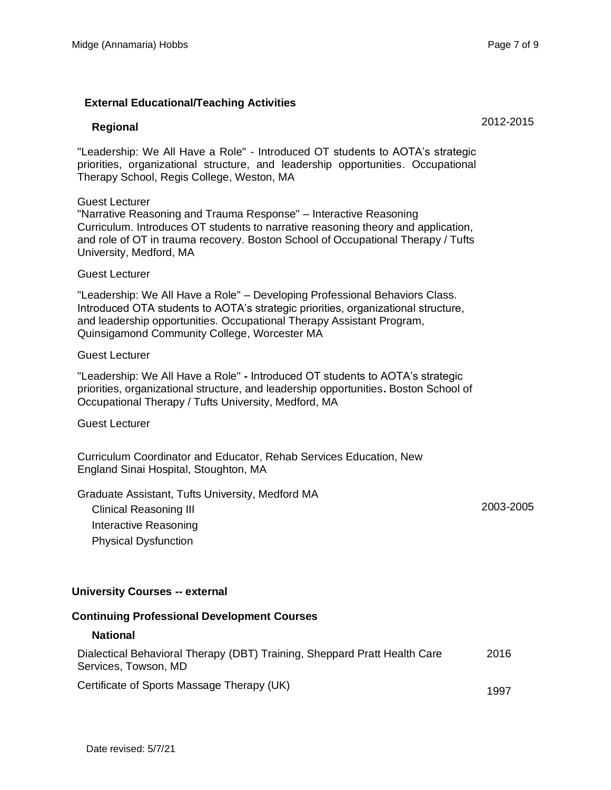2012-2015

### **External Educational/Teaching Activities**

#### **Regional**

"Leadership: We All Have a Role" - Introduced OT students to AOTA's strategic priorities, organizational structure, and leadership opportunities. Occupational Therapy School, Regis College, Weston, MA

#### Guest Lecturer

"Narrative Reasoning and Trauma Response" – Interactive Reasoning Curriculum. Introduces OT students to narrative reasoning theory and application, and role of OT in trauma recovery. Boston School of Occupational Therapy / Tufts University, Medford, MA

#### Guest Lecturer

"Leadership: We All Have a Role" – Developing Professional Behaviors Class. Introduced OTA students to AOTA's strategic priorities, organizational structure, and leadership opportunities. Occupational Therapy Assistant Program, Quinsigamond Community College, Worcester MA

#### Guest Lecturer

"Leadership: We All Have a Role" **-** Introduced OT students to AOTA's strategic priorities, organizational structure, and leadership opportunities**.** Boston School of Occupational Therapy / Tufts University, Medford, MA

Guest Lecturer

Curriculum Coordinator and Educator, Rehab Services Education, New England Sinai Hospital, Stoughton, MA

Graduate Assistant, Tufts University, Medford MA

Clinical Reasoning III Interactive Reasoning Physical Dysfunction

2003-2005

#### **University Courses -- external**

#### **Continuing Professional Development Courses**

#### **National**

| Dialectical Behavioral Therapy (DBT) Training, Sheppard Pratt Health Care | 2016 |
|---------------------------------------------------------------------------|------|
| Services, Towson, MD                                                      |      |
| <b>ㅇ ·:: : : ㅇ · · · · · · ㅜ</b> ! /!!! /\                                |      |

Certificate of Sports Massage Therapy (UK) 1997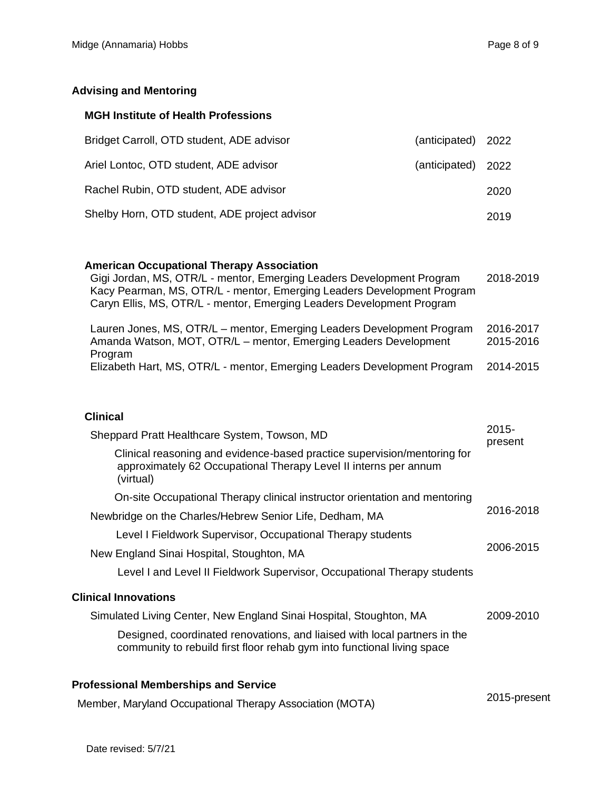### **Advising and Mentoring**

#### **MGH Institute of Health Professions**

| Bridget Carroll, OTD student, ADE advisor     | (anticipated) 2022 |      |
|-----------------------------------------------|--------------------|------|
| Ariel Lontoc, OTD student, ADE advisor        | (anticipated) 2022 |      |
| Rachel Rubin, OTD student, ADE advisor        |                    | 2020 |
| Shelby Horn, OTD student, ADE project advisor |                    | 2019 |

#### **American Occupational Therapy Association**

Gigi Jordan, MS, OTR/L - mentor, Emerging Leaders Development Program Kacy Pearman, MS, OTR/L - mentor, Emerging Leaders Development Program Caryn Ellis, MS, OTR/L - mentor, Emerging Leaders Development Program 2018-2019

| Lauren Jones, MS, OTR/L – mentor, Emerging Leaders Development Program<br>Amanda Watson, MOT, OTR/L – mentor, Emerging Leaders Development | 2016-2017<br>2015-2016 |
|--------------------------------------------------------------------------------------------------------------------------------------------|------------------------|
| Program                                                                                                                                    |                        |
| Elizabeth Hart, MS, OTR/L - mentor, Emerging Leaders Development Program                                                                   | 2014-2015              |

## **Clinical**

| Sheppard Pratt Healthcare System, Towson, MD                                                                                                              | 2015-<br>present |
|-----------------------------------------------------------------------------------------------------------------------------------------------------------|------------------|
| Clinical reasoning and evidence-based practice supervision/mentoring for<br>approximately 62 Occupational Therapy Level II interns per annum<br>(virtual) |                  |
| On-site Occupational Therapy clinical instructor orientation and mentoring                                                                                |                  |
| Newbridge on the Charles/Hebrew Senior Life, Dedham, MA                                                                                                   | 2016-2018        |
| Level I Fieldwork Supervisor, Occupational Therapy students                                                                                               | 2006-2015        |
| New England Sinai Hospital, Stoughton, MA                                                                                                                 |                  |
| Level I and Level II Fieldwork Supervisor, Occupational Therapy students                                                                                  |                  |
| <b>Clinical Innovations</b>                                                                                                                               |                  |
| Simulated Living Center, New England Sinai Hospital, Stoughton, MA                                                                                        | 2009-2010        |
| Designed, coordinated renovations, and liaised with local partners in the<br>community to rebuild first floor rehab gym into functional living space      |                  |
| <b>Professional Memberships and Service</b>                                                                                                               |                  |
| Member, Maryland Occupational Therapy Association (MOTA)                                                                                                  | 2015-present     |